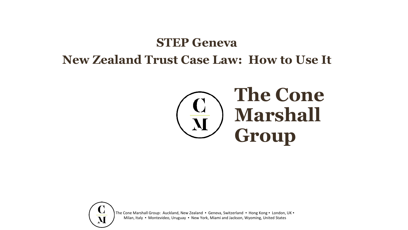# **STEP Geneva New Zealand Trust Case Law: How to Use It**



The Cone Marshall Group: Auckland, New Zealand · Geneva, Switzerland · Hong Kong · London, UK · Milan, Italy ▪ Montevideo, Uruguay ▪ New York, Miami and Jackson, Wyoming, United States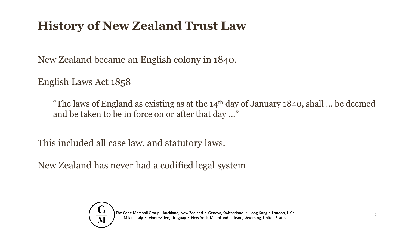### **History of New Zealand Trust Law**

New Zealand became an English colony in 1840.

English Laws Act 1858

"The laws of England as existing as at the  $14<sup>th</sup>$  day of January 1840, shall ... be deemed and be taken to be in force on or after that day …"

This included all case law, and statutory laws.

New Zealand has never had a codified legal system

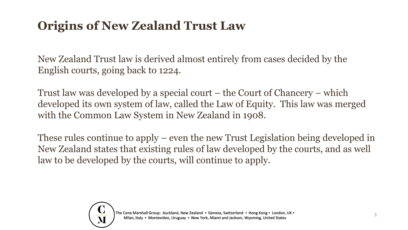### **Origins of New Zealand Trust Law**

New Zealand Trust law is derived almost entirely from cases decided by the English courts, going back to 1224.

Trust law was developed by a special court – the Court of Chancery – which developed its own system of law, called the Law of Equity. This law was merged with the Common Law System in New Zealand in 1908.

These rules continue to apply – even the new Trust Legislation being developed in New Zealand states that existing rules of law developed by the courts, and as well law to be developed by the courts, will continue to apply.

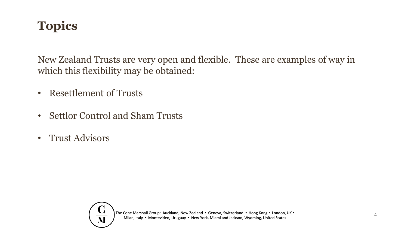## **Topics**

New Zealand Trusts are very open and flexible. These are examples of way in which this flexibility may be obtained:

- Resettlement of Trusts
- Settlor Control and Sham Trusts
- Trust Advisors

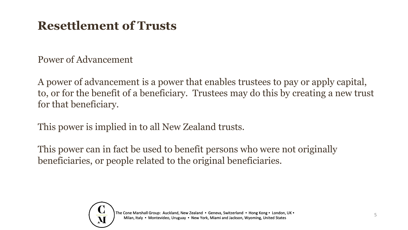### **Resettlement of Trusts**

Power of Advancement

A power of advancement is a power that enables trustees to pay or apply capital, to, or for the benefit of a beneficiary. Trustees may do this by creating a new trust for that beneficiary.

This power is implied in to all New Zealand trusts.

This power can in fact be used to benefit persons who were not originally beneficiaries, or people related to the original beneficiaries.

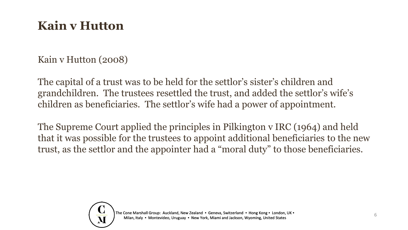### **Kain v Hutton**

Kain v Hutton (2008)

The capital of a trust was to be held for the settlor's sister's children and grandchildren. The trustees resettled the trust, and added the settlor's wife's children as beneficiaries. The settlor's wife had a power of appointment.

The Supreme Court applied the principles in Pilkington v IRC (1964) and held that it was possible for the trustees to appoint additional beneficiaries to the new trust, as the settlor and the appointer had a "moral duty" to those beneficiaries.

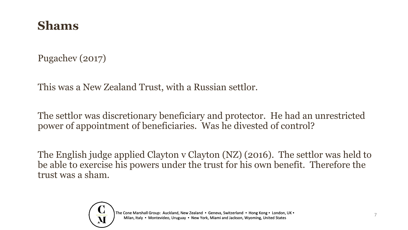#### **Shams**

Pugachev (2017)

This was a New Zealand Trust, with a Russian settlor.

The settlor was discretionary beneficiary and protector. He had an unrestricted power of appointment of beneficiaries. Was he divested of control?

The English judge applied Clayton v Clayton (NZ) (2016). The settlor was held to be able to exercise his powers under the trust for his own benefit. Therefore the trust was a sham.

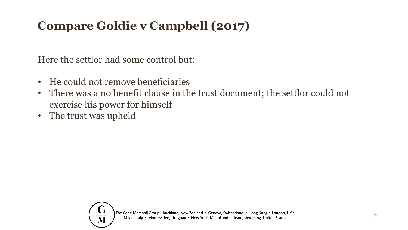# **Compare Goldie v Campbell (2017)**

Here the settlor had some control but:

- He could not remove beneficiaries
- There was a no benefit clause in the trust document; the settlor could not exercise his power for himself
- The trust was upheld

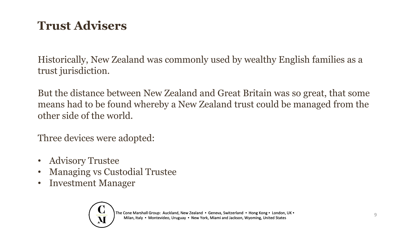## **Trust Advisers**

Historically, New Zealand was commonly used by wealthy English families as a trust jurisdiction.

But the distance between New Zealand and Great Britain was so great, that some means had to be found whereby a New Zealand trust could be managed from the other side of the world.

Three devices were adopted:

- Advisory Trustee
- Managing vs Custodial Trustee
- Investment Manager

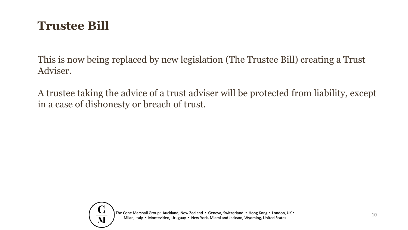### **Trustee Bill**

This is now being replaced by new legislation (The Trustee Bill) creating a Trust Adviser.

A trustee taking the advice of a trust adviser will be protected from liability, except in a case of dishonesty or breach of trust.